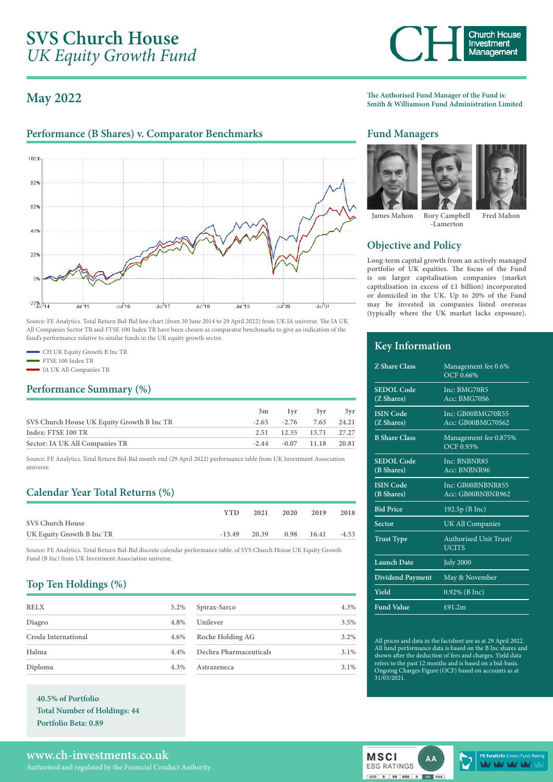# **SVS Church House** *UK Equity Growth Fund*

## **May 2022**

### Performance (B Shares) v. Comparator Benchmarks **Fund Managers**



Source: FE Analytics. Total Return Bid-Bid line chart (from 30 June 2014 to 29 April 2022) from UK IA universe. The IA UK All Companies Sector TR and FTSE 100 Index TR have been chosen as comparator benchmarks to give an indication of the fund's performance relative to similar funds in the UK equity growth sector.

- CH UK Equity Growth B Inc TR
- FTSE 100 Index TR
- IA UK All Companies TR

#### **Performance Summary (%)**

|  | 3yr | 5v1                                                                                               |
|--|-----|---------------------------------------------------------------------------------------------------|
|  |     |                                                                                                   |
|  |     |                                                                                                   |
|  |     |                                                                                                   |
|  |     | 3m 1vr<br>$-2.65$ $-2.76$ $7.65$ $24.21$<br>2.51 12.35 13.71 27.27<br>$-2.44$ $-0.07$ 11.18 20.81 |

Source: FE Analytics. Total Return Bid-Bid month end (29 April 2022) performance table from UK Investment Association universe.

## **Calendar Year Total Returns (%)**

|                           | <b>YTD</b> | 2021     | 2020 | 2019  | 2018    |
|---------------------------|------------|----------|------|-------|---------|
| <b>SVS Church House</b>   |            |          |      |       |         |
| UK Equity Growth B Inc TR | $-13.49$   | $-20.39$ | 0.98 | 16.41 | $-4.53$ |
|                           |            |          |      |       |         |

Source: FE Analytics. Total Return Bid-Bid discrete calendar performance table, of SVS Church House UK Equity Growth Fund (B Inc) from UK Investment Association universe.

#### **Top Ten Holdings (%)**

| <b>RELX</b>         | 5.2% |
|---------------------|------|
| Diageo              | 4.8% |
| Croda International | 4.6% |
| Halma               | 4.4% |
| Diploma             | 4.3% |

**40.5% of Portfolio Total Number of Holdings: 44 Portfolio Beta: 0.89**

| Spirax-Sarco           | 4.3%    |
|------------------------|---------|
| Unilever               | 3.5%    |
| Roche Holding AG       | 3.2%    |
| Dechra Pharmaceuticals | $3.1\%$ |
| Astrazeneca            | $3.1\%$ |

**The Authorised Fund Manager of the Fund is: Smith & Williamson Fund Administration Limited**





**James Mahon Rory Campbell**

**-Lamerton Fred Mahon**

## **Objective and Policy**

**Long-term capital growth from an actively managed portfolio of UK equities. The focus of the Fund is on larger capitalisation companies (market capitalisation in excess of £1 billion) incorporated or domiciled in the UK. Up to 20% of the Fund may be invested in companies listed overseas (typically where the UK market lacks exposure).**

#### **Key Information**

| <b>Z</b> Share Class            | Management fee 0.6%<br>OCF 0.66%       |
|---------------------------------|----------------------------------------|
| <b>SEDOL</b> Code<br>(Z Shares) | Inc: BMG70R5<br>Acc: BMG70S6           |
| <b>ISIN</b> Code<br>(Z Shares)  | Inc: GB00BMG70R55<br>Acc: GB00BMG70S62 |
| <b>B Share Class</b>            | Management fee 0.875%<br>OCF 0.93%     |
| <b>SEDOL Code</b><br>(B Shares) | Inc: BNBNR85<br>Acc: BNBNR96           |
| <b>ISIN Code</b><br>(B Shares)  | Inc: GB00BNBNR855<br>Acc: GB00BNBNR962 |
| <b>Bid Price</b>                | 192.5p(BInc)                           |
| Sector                          | <b>UK All Companies</b>                |
| <b>Trust Type</b>               | Authorised Unit Trust/<br><b>UCITS</b> |
| <b>Launch Date</b>              | <b>July 2000</b>                       |
| <b>Dividend Payment</b>         | May & November                         |
| Yield                           | 0.92% (B Inc)                          |
| <b>Fund Value</b>               | £91.2m                                 |

All prices and data in the factsheet are as at 29 April 2022. All fund performance data is based on the B Inc shares and shown after the deduction of fees and charges. Yield data refers to the past 12 months and is based on a bid-basis. Ongoing Charges Figure (OCF) based on accounts as at 31/03/2021.



**MSCI** 

**ESG RATINGS** 

contra los loss

dinfo Crown Fund R MAY VAY VA